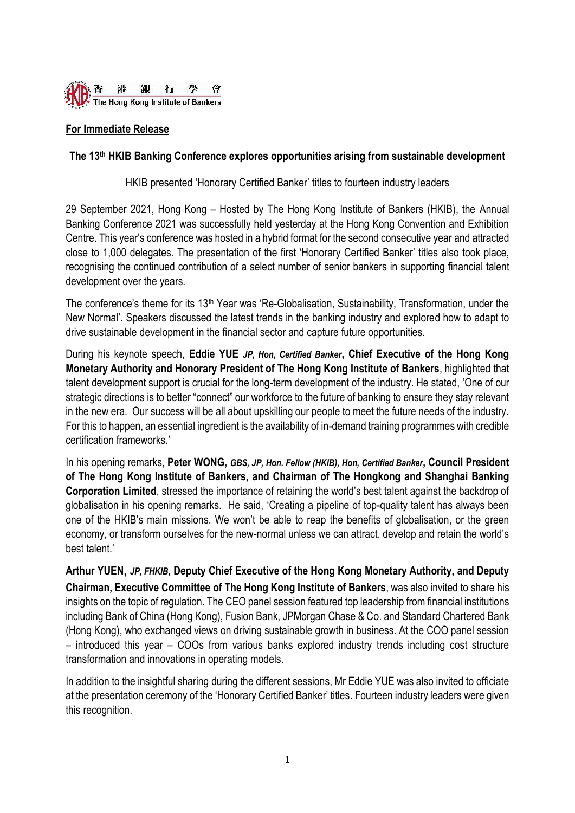

## **For Immediate Release**

### **The 13 th HKIB Banking Conference explores opportunities arising from sustainable development**

HKIB presented 'Honorary Certified Banker' titles to fourteen industry leaders

29 September 2021, Hong Kong – Hosted by The Hong Kong Institute of Bankers (HKIB), the Annual Banking Conference 2021 was successfully held yesterday at the Hong Kong Convention and Exhibition Centre. This year's conference was hosted in a hybrid format for the second consecutive year and attracted close to 1,000 delegates. The presentation of the first 'Honorary Certified Banker' titles also took place, recognising the continued contribution of a select number of senior bankers in supporting financial talent development over the years.

The conference's theme for its 13<sup>th</sup> Year was 'Re-Globalisation, Sustainability, Transformation, under the New Normal'. Speakers discussed the latest trends in the banking industry and explored how to adapt to drive sustainable development in the financial sector and capture future opportunities.

During his keynote speech, **Eddie YUE** *JP, Hon, Certified Banker***, Chief Executive of the Hong Kong Monetary Authority and Honorary President of The Hong Kong Institute of Bankers**, highlighted that talent development support is crucial for the long-term development of the industry. He stated, 'One of our strategic directions is to better "connect" our workforce to the future of banking to ensure they stay relevant in the new era. Our success will be all about upskilling our people to meet the future needs of the industry. For this to happen, an essential ingredient is the availability of in-demand training programmes with credible certification frameworks.'

In his opening remarks, **Peter WONG,** *GBS, JP, Hon. Fellow (HKIB), Hon, Certified Banker***, Council President of The Hong Kong Institute of Bankers, and Chairman of The Hongkong and Shanghai Banking Corporation Limited**, stressed the importance of retaining the world's best talent against the backdrop of globalisation in his opening remarks. He said, 'Creating a pipeline of top-quality talent has always been one of the HKIB's main missions. We won't be able to reap the benefits of globalisation, or the green economy, or transform ourselves for the new-normal unless we can attract, develop and retain the world's best talent.'

**Arthur YUEN,** *JP, FHKIB***, Deputy Chief Executive of the Hong Kong Monetary Authority, and Deputy Chairman, Executive Committee of The Hong Kong Institute of Bankers**, was also invited to share his insights on the topic of regulation. The CEO panel session featured top leadership from financial institutions including Bank of China (Hong Kong), Fusion Bank, JPMorgan Chase & Co. and Standard Chartered Bank (Hong Kong), who exchanged views on driving sustainable growth in business. At the COO panel session – introduced this year – COOs from various banks explored industry trends including cost structure transformation and innovations in operating models.

In addition to the insightful sharing during the different sessions, Mr Eddie YUE was also invited to officiate at the presentation ceremony of the 'Honorary Certified Banker' titles. Fourteen industry leaders were given this recognition.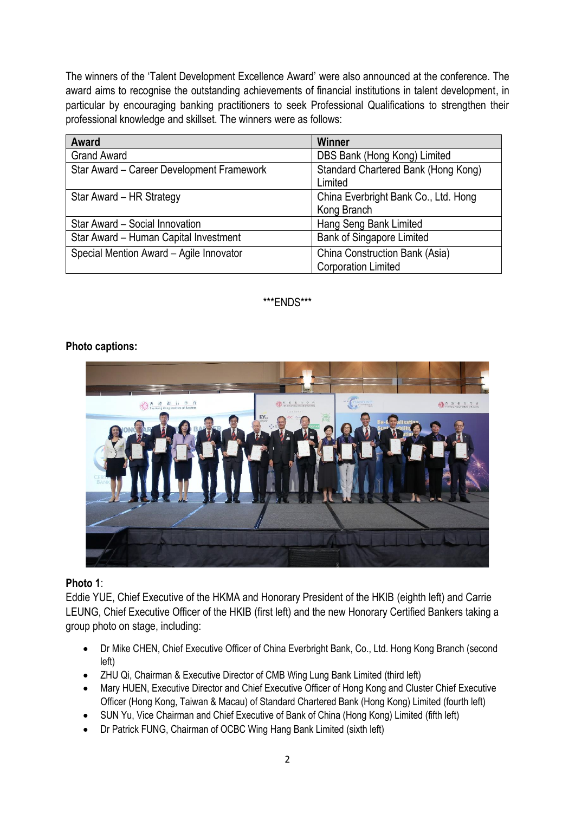The winners of the 'Talent Development Excellence Award' were also announced at the conference. The award aims to recognise the outstanding achievements of financial institutions in talent development, in particular by encouraging banking practitioners to seek Professional Qualifications to strengthen their professional knowledge and skillset. The winners were as follows:

| Award                                     | <b>Winner</b>                                                |
|-------------------------------------------|--------------------------------------------------------------|
| <b>Grand Award</b>                        | DBS Bank (Hong Kong) Limited                                 |
| Star Award - Career Development Framework | Standard Chartered Bank (Hong Kong)<br>Limited               |
| Star Award - HR Strategy                  | China Everbright Bank Co., Ltd. Hong<br>Kong Branch          |
| Star Award - Social Innovation            | Hang Seng Bank Limited                                       |
| Star Award - Human Capital Investment     | <b>Bank of Singapore Limited</b>                             |
| Special Mention Award - Agile Innovator   | China Construction Bank (Asia)<br><b>Corporation Limited</b> |

\*\*\*ENDS\*\*\*

## **Photo captions:**



# **Photo 1**:

Eddie YUE, Chief Executive of the HKMA and Honorary President of the HKIB (eighth left) and Carrie LEUNG, Chief Executive Officer of the HKIB (first left) and the new Honorary Certified Bankers taking a group photo on stage, including:

- Dr Mike CHEN, Chief Executive Officer of China Everbright Bank, Co., Ltd. Hong Kong Branch (second left)
- ZHU Qi, Chairman & Executive Director of CMB Wing Lung Bank Limited (third left)
- Mary HUEN, Executive Director and Chief Executive Officer of Hong Kong and Cluster Chief Executive Officer (Hong Kong, Taiwan & Macau) of Standard Chartered Bank (Hong Kong) Limited (fourth left)
- SUN Yu, Vice Chairman and Chief Executive of Bank of China (Hong Kong) Limited (fifth left)
- Dr Patrick FUNG, Chairman of OCBC Wing Hang Bank Limited (sixth left)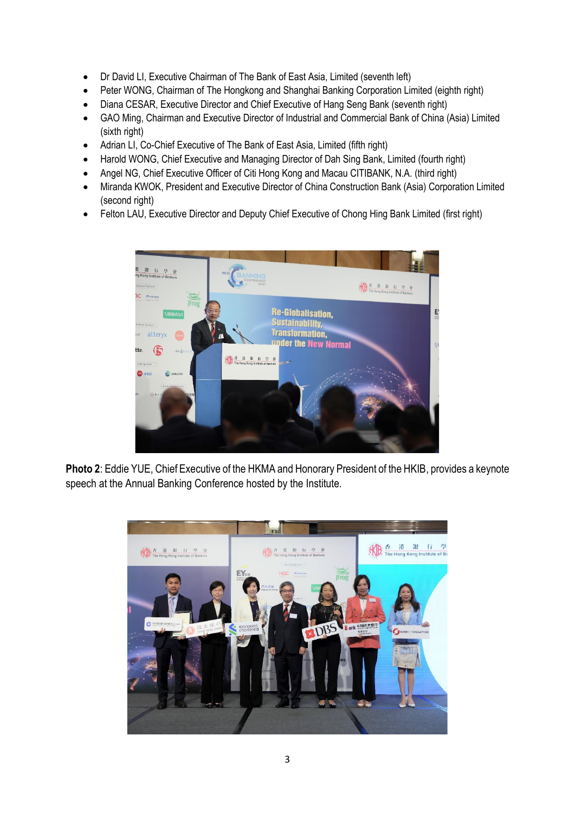- Dr David LI, Executive Chairman of The Bank of East Asia, Limited (seventh left)
- Peter WONG, Chairman of The Hongkong and Shanghai Banking Corporation Limited (eighth right)
- Diana CESAR, Executive Director and Chief Executive of Hang Seng Bank (seventh right)
- GAO Ming, Chairman and Executive Director of Industrial and Commercial Bank of China (Asia) Limited (sixth right)
- Adrian LI, Co-Chief Executive of The Bank of East Asia, Limited (fifth right)
- Harold WONG, Chief Executive and Managing Director of Dah Sing Bank, Limited (fourth right)
- Angel NG, Chief Executive Officer of Citi Hong Kong and Macau CITIBANK, N.A. (third right)
- Miranda KWOK, President and Executive Director of China Construction Bank (Asia) Corporation Limited (second right)
- Felton LAU, Executive Director and Deputy Chief Executive of Chong Hing Bank Limited (first right)



**Photo 2**: Eddie YUE, Chief Executive of the HKMA and Honorary President of the HKIB, provides a keynote speech at the Annual Banking Conference hosted by the Institute.

![](_page_2_Picture_11.jpeg)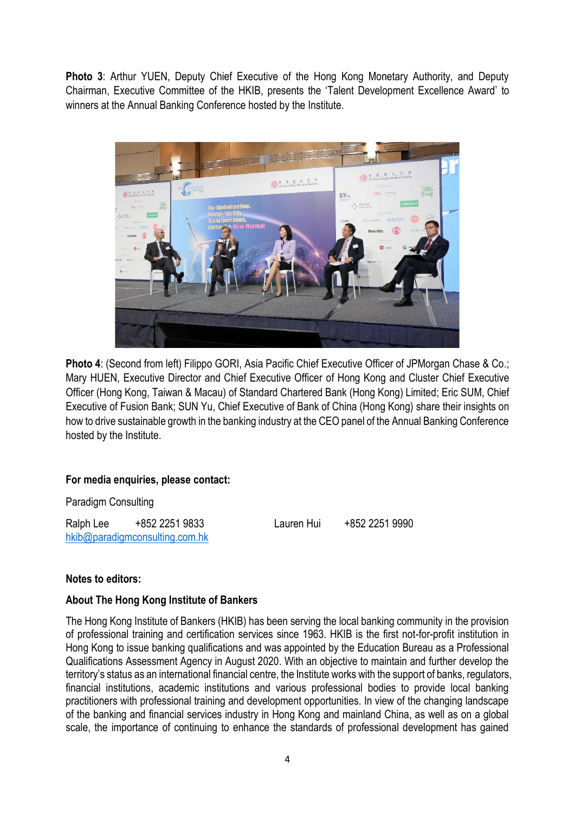**Photo 3**: Arthur YUEN, Deputy Chief Executive of the Hong Kong Monetary Authority, and Deputy Chairman, Executive Committee of the HKIB, presents the 'Talent Development Excellence Award' to winners at the Annual Banking Conference hosted by the Institute.

![](_page_3_Picture_1.jpeg)

**Photo 4**: (Second from left) Filippo GORI, Asia Pacific Chief Executive Officer of JPMorgan Chase & Co.; Mary HUEN, Executive Director and Chief Executive Officer of Hong Kong and Cluster Chief Executive Officer (Hong Kong, Taiwan & Macau) of Standard Chartered Bank (Hong Kong) Limited; Eric SUM, Chief Executive of Fusion Bank; SUN Yu, Chief Executive of Bank of China (Hong Kong) share their insights on how to drive sustainable growth in the banking industry at the CEO panel of the Annual Banking Conference hosted by the Institute.

## **For media enquiries, please contact:**

Paradigm Consulting

Ralph Lee +852 2251 9833 Lauren Hui +852 2251 9990 [hkib@paradigmconsulting.com.hk](mailto:hkib@paradigmconsulting.com.hk)

#### **Notes to editors:**

## **About The Hong Kong Institute of Bankers**

The Hong Kong Institute of Bankers (HKIB) has been serving the local banking community in the provision of professional training and certification services since 1963. HKIB is the first not-for-profit institution in Hong Kong to issue banking qualifications and was appointed by the Education Bureau as a Professional Qualifications Assessment Agency in August 2020. With an objective to maintain and further develop the territory's status as an international financial centre, the Institute works with the support of banks, regulators, financial institutions, academic institutions and various professional bodies to provide local banking practitioners with professional training and development opportunities. In view of the changing landscape of the banking and financial services industry in Hong Kong and mainland China, as well as on a global scale, the importance of continuing to enhance the standards of professional development has gained